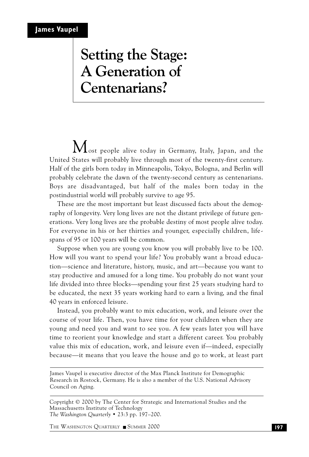## **Setting the Stage: A Generation of Centenarians?**

 $\mathbf M$ <sub>ost people alive today in Germany, Italy, Japan, and the</sub> United States will probably live through most of the twenty-first century. Half of the girls born today in Minneapolis, Tokyo, Bologna, and Berlin will probably celebrate the dawn of the twenty-second century as centenarians. Boys are disadvantaged, but half of the males born today in the postindustrial world will probably survive to age 95.

These are the most important but least discussed facts about the demography of longevity. Very long lives are not the distant privilege of future generations. Very long lives are the probable destiny of most people alive today. For everyone in his or her thirties and younger, especially children, lifespans of 95 or 100 years will be common.

Suppose when you are young you know you will probably live to be 100. How will you want to spend your life? You probably want a broad education—science and literature, history, music, and art—because you want to stay productive and amused for a long time. You probably do not want your life divided into three blocks—spending your first 25 years studying hard to be educated, the next 35 years working hard to earn a living, and the final 40 years in enforced leisure.

Instead, you probably want to mix education, work, and leisure over the course of your life. Then, you have time for your children when they are young and need you and want to see you. A few years later you will have time to reorient your knowledge and start a different career. You probably value this mix of education, work, and leisure even if—indeed, especially because—it means that you leave the house and go to work, at least part

James Vaupel is executive director of the Max Planck Institute for Demographic Research in Rostock, Germany. He is also a member of the U.S. National Advisory Council on Aging.

Copyright © 2000 by The Center for Strategic and International Studies and the Massachusetts Institute of Technology *The Washington Quarterly* • 23:3 pp. 197–200.

THE WASHINGTON QUARTERLY ■ SUMMER 2000 **197**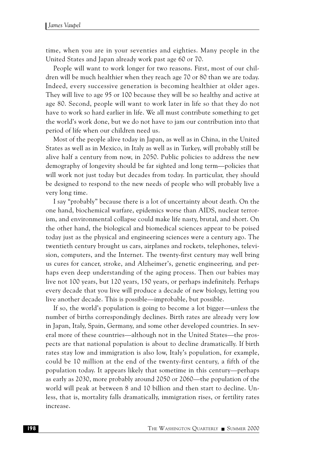time, when you are in your seventies and eighties. Many people in the United States and Japan already work past age 60 or 70.

People will want to work longer for two reasons. First, most of our children will be much healthier when they reach age 70 or 80 than we are today. Indeed, every successive generation is becoming healthier at older ages. They will live to age 95 or 100 because they will be so healthy and active at age 80. Second, people will want to work later in life so that they do not have to work so hard earlier in life. We all must contribute something to get the world's work done, but we do not have to jam our contribution into that period of life when our children need us.

Most of the people alive today in Japan, as well as in China, in the United States as well as in Mexico, in Italy as well as in Turkey, will probably still be alive half a century from now, in 2050. Public policies to address the new demography of longevity should be far sighted and long term*—*policies that will work not just today but decades from today. In particular, they should be designed to respond to the new needs of people who will probably live a very long time.

I say "probably" because there is a lot of uncertainty about death. On the one hand, biochemical warfare, epidemics worse than AIDS, nuclear terrorism, and environmental collapse could make life nasty, brutal, and short. On the other hand, the biological and biomedical sciences appear to be poised today just as the physical and engineering sciences were a century ago. The twentieth century brought us cars, airplanes and rockets, telephones, television, computers, and the Internet. The twenty-first century may well bring us cures for cancer, stroke, and Alzheimer's, genetic engineering, and perhaps even deep understanding of the aging process. Then our babies may live not 100 years, but 120 years, 150 years, or perhaps indefinitely. Perhaps every decade that you live will produce a decade of new biology, letting you live another decade. This is possible—improbable, but possible.

If so, the world's population is going to become a lot bigger—unless the number of births correspondingly declines. Birth rates are already very low in Japan, Italy, Spain, Germany, and some other developed countries. In several more of these countries—although not in the United States—the prospects are that national population is about to decline dramatically. If birth rates stay low and immigration is also low, Italy's population, for example, could be 10 million at the end of the twenty-first century, a fifth of the population today. It appears likely that sometime in this century—perhaps as early as 2030, more probably around 2050 or 2060—the population of the world will peak at between 8 and 10 billion and then start to decline. Unless, that is, mortality falls dramatically, immigration rises, or fertility rates increase.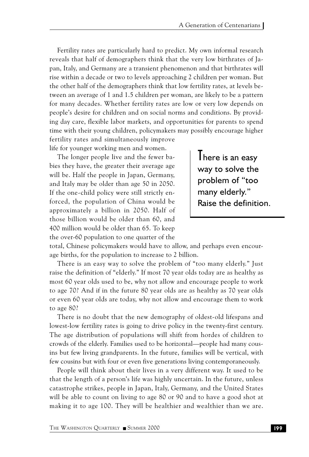Fertility rates are particularly hard to predict. My own informal research reveals that half of demographers think that the very low birthrates of Japan, Italy, and Germany are a transient phenomenon and that birthrates will rise within a decade or two to levels approaching 2 children per woman. But the other half of the demographers think that low fertility rates, at levels between an average of 1 and 1.5 children per woman, are likely to be a pattern for many decades. Whether fertility rates are low or very low depends on people's desire for children and on social norms and conditions. By providing day care, flexible labor markets, and opportunities for parents to spend time with their young children, policymakers may possibly encourage higher fertility rates and simultaneously improve life for younger working men and women.

The longer people live and the fewer babies they have, the greater their average age will be. Half the people in Japan, Germany, and Italy may be older than age 50 in 2050. If the one-child policy were still strictly enforced, the population of China would be approximately a billion in 2050. Half of those billion would be older than 60, and 400 million would be older than 65. To keep the over-60 population to one quarter of the

I here is an easy way to solve the problem of "too many elderly." Raise the definition.

total, Chinese policymakers would have to allow, and perhaps even encourage births, for the population to increase to 2 billion.

There is an easy way to solve the problem of "too many elderly." Just raise the definition of "elderly." If most 70 year olds today are as healthy as most 60 year olds used to be, why not allow and encourage people to work to age 70? And if in the future 80 year olds are as healthy as 70 year olds or even 60 year olds are today, why not allow and encourage them to work to age 80?

There is no doubt that the new demography of oldest-old lifespans and lowest-low fertility rates is going to drive policy in the twenty-first century. The age distribution of populations will shift from hordes of children to crowds of the elderly. Families used to be horizontal—people had many cousins but few living grandparents. In the future, families will be vertical, with few cousins but with four or even five generations living contemporaneously.

People will think about their lives in a very different way. It used to be that the length of a person's life was highly uncertain. In the future, unless catastrophe strikes, people in Japan, Italy, Germany, and the United States will be able to count on living to age 80 or 90 and to have a good shot at making it to age 100. They will be healthier and wealthier than we are.